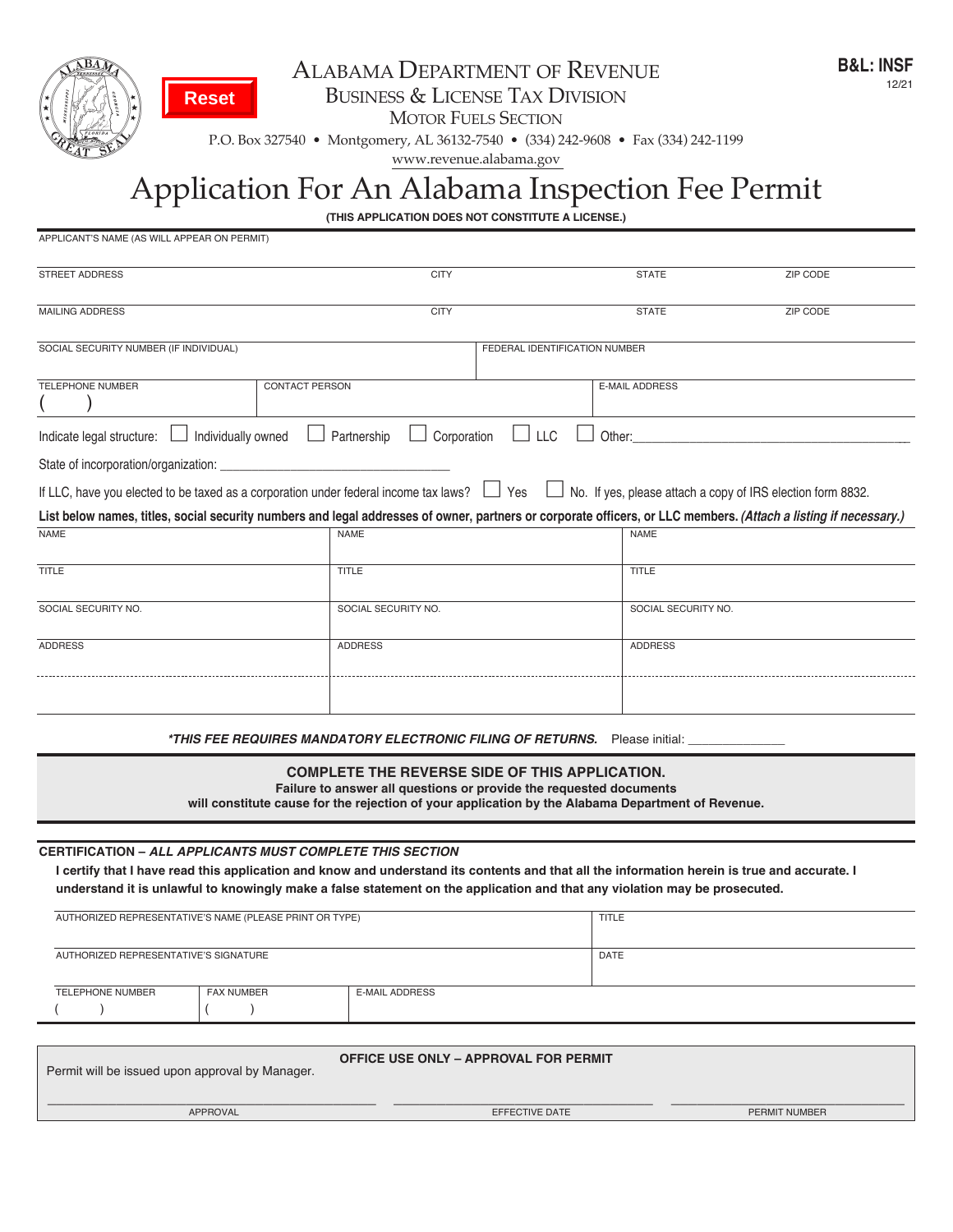

**Reset**

 $($   $)$   $($   $)$ 

## ALABAMA DEPARTMENT OF REVENUE business & license tAx Division

**MOTOR FUELS SECTION** 

p.o. box 327540 • montgomery, Al 36132-7540 • (334) 242-9608 • fax (334) 242-1199

www.revenue.alabama.gov

## Application for An Alabama inspection fee permit

**(THIS APPLICATION DOES NOT CONSTITUTE A LICENSE.)**

| APPLICANT'S NAME (AS WILL APPEAR ON PERMIT)                                                                                                                                                                      |                            |                                                                                                                                                                                                                                  |                                                                    |
|------------------------------------------------------------------------------------------------------------------------------------------------------------------------------------------------------------------|----------------------------|----------------------------------------------------------------------------------------------------------------------------------------------------------------------------------------------------------------------------------|--------------------------------------------------------------------|
| <b>STREET ADDRESS</b>                                                                                                                                                                                            | <b>CITY</b>                | <b>STATE</b>                                                                                                                                                                                                                     | ZIP CODE                                                           |
| <b>MAILING ADDRESS</b>                                                                                                                                                                                           | <b>CITY</b>                | <b>STATE</b>                                                                                                                                                                                                                     | <b>ZIP CODE</b>                                                    |
| SOCIAL SECURITY NUMBER (IF INDIVIDUAL)                                                                                                                                                                           |                            | FEDERAL IDENTIFICATION NUMBER                                                                                                                                                                                                    |                                                                    |
| <b>TELEPHONE NUMBER</b>                                                                                                                                                                                          | <b>CONTACT PERSON</b>      | <b>E-MAIL ADDRESS</b>                                                                                                                                                                                                            |                                                                    |
| Individually owned<br>Indicate legal structure:                                                                                                                                                                  | Corporation<br>Partnership | $\Box$ LLC<br>Other:                                                                                                                                                                                                             |                                                                    |
| State of incorporation/organization:                                                                                                                                                                             |                            |                                                                                                                                                                                                                                  |                                                                    |
| If LLC, have you elected to be taxed as a corporation under federal income tax laws?                                                                                                                             |                            | $\Box$ Yes                                                                                                                                                                                                                       | $\Box$ No. If yes, please attach a copy of IRS election form 8832. |
| List below names, titles, social security numbers and legal addresses of owner, partners or corporate officers, or LLC members. (Attach a listing if necessary.)                                                 |                            |                                                                                                                                                                                                                                  |                                                                    |
| <b>NAME</b>                                                                                                                                                                                                      | <b>NAME</b>                | <b>NAME</b>                                                                                                                                                                                                                      |                                                                    |
| <b>TITLE</b>                                                                                                                                                                                                     | <b>TITLE</b>               | TITLE                                                                                                                                                                                                                            |                                                                    |
| SOCIAL SECURITY NO.                                                                                                                                                                                              | SOCIAL SECURITY NO.        | SOCIAL SECURITY NO.                                                                                                                                                                                                              |                                                                    |
| <b>ADDRESS</b>                                                                                                                                                                                                   | <b>ADDRESS</b>             | <b>ADDRESS</b>                                                                                                                                                                                                                   |                                                                    |
|                                                                                                                                                                                                                  |                            | *THIS FEE REQUIRES MANDATORY ELECTRONIC FILING OF RETURNS. Please initial:                                                                                                                                                       |                                                                    |
|                                                                                                                                                                                                                  |                            | <b>COMPLETE THE REVERSE SIDE OF THIS APPLICATION.</b><br>Failure to answer all questions or provide the requested documents<br>will constitute cause for the rejection of your application by the Alabama Department of Revenue. |                                                                    |
|                                                                                                                                                                                                                  |                            |                                                                                                                                                                                                                                  |                                                                    |
| <b>CERTIFICATION - ALL APPLICANTS MUST COMPLETE THIS SECTION</b><br>I certify that I have read this application and know and understand its contents and that all the information herein is true and accurate. I |                            |                                                                                                                                                                                                                                  |                                                                    |
| understand it is unlawful to knowingly make a false statement on the application and that any violation may be prosecuted.                                                                                       |                            |                                                                                                                                                                                                                                  |                                                                    |
| AUTHORIZED REPRESENTATIVE'S NAME (PLEASE PRINT OR TYPE)                                                                                                                                                          |                            | <b>TITLE</b>                                                                                                                                                                                                                     |                                                                    |
| AUTHORIZED REPRESENTATIVE'S SIGNATURE                                                                                                                                                                            |                            | DATE                                                                                                                                                                                                                             |                                                                    |
| <b>TELEPHONE NUMBER</b><br><b>FAX NUMBER</b>                                                                                                                                                                     | <b>E-MAIL ADDRESS</b>      |                                                                                                                                                                                                                                  |                                                                    |

| Permit will be issued upon approval by Manager. | <b>OFFICE USE ONLY - APPROVAL FOR PERMIT</b> |               |
|-------------------------------------------------|----------------------------------------------|---------------|
| <b>APPROVAL</b>                                 | EFFECTIVE DATE                               | PERMIT NUMBER |